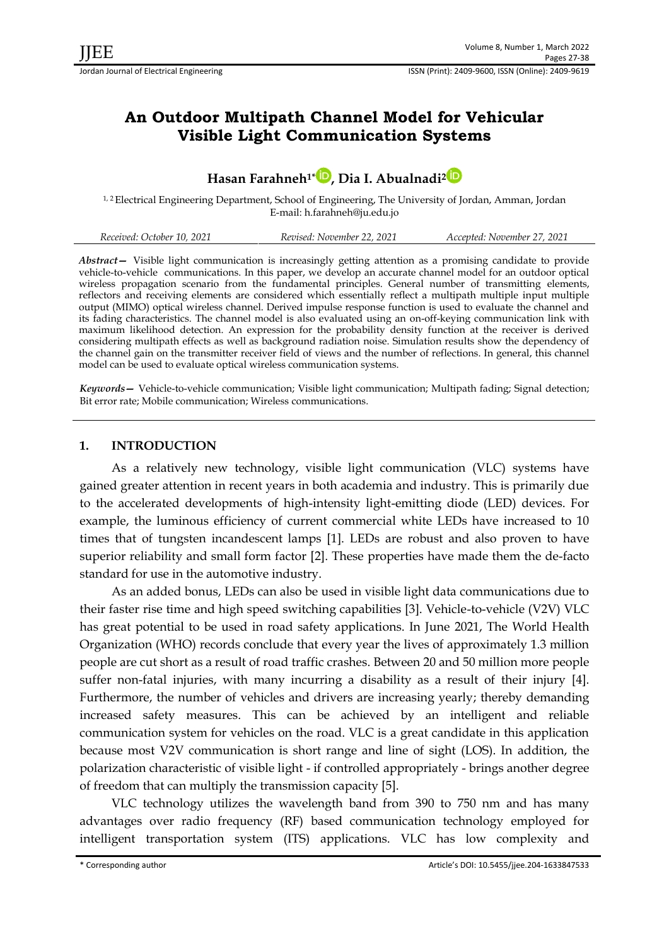# **An Outdoor Multipath Channel Model for Vehicular Visible Light Communication Systems**

# **Hasan Farahneh1\* [,](https://orcid.org/0000-0002-0632-5792) Dia I. Abualnadi[2](https://orcid.org/0000-0003-1555-0059)**

1, 2 Electrical Engineering Department, School of Engineering, The University of Jordan, Amman, Jordan E-mail: [h.farahneh@ju.edu.jo](mailto:h.farahneh@ju.edu.jo)

| Received: October 10, 2021 | Revised: November 22, 2021 | Accepted: November 27, 2021 |
|----------------------------|----------------------------|-----------------------------|
|----------------------------|----------------------------|-----------------------------|

*Abstract—* Visible light communication is increasingly getting attention as a promising candidate to provide vehicle-to-vehicle communications. In this paper, we develop an accurate channel model for an outdoor optical wireless propagation scenario from the fundamental principles. General number of transmitting elements, reflectors and receiving elements are considered which essentially reflect a multipath multiple input multiple output (MIMO) optical wireless channel. Derived impulse response function is used to evaluate the channel and its fading characteristics. The channel model is also evaluated using an on-off-keying communication link with maximum likelihood detection. An expression for the probability density function at the receiver is derived considering multipath effects as well as background radiation noise. Simulation results show the dependency of the channel gain on the transmitter receiver field of views and the number of reflections. In general, this channel model can be used to evaluate optical wireless communication systems.

*Keywords—* Vehicle-to-vehicle communication; Visible light communication; Multipath fading; Signal detection; Bit error rate; Mobile communication; Wireless communications.

## **1. INTRODUCTION**

As a relatively new technology, visible light communication (VLC) systems have gained greater attention in recent years in both academia and industry. This is primarily due to the accelerated developments of high-intensity light-emitting diode (LED) devices. For example, the luminous efficiency of current commercial white LEDs have increased to 10 times that of tungsten incandescent lamps [1]. LEDs are robust and also proven to have superior reliability and small form factor [2]. These properties have made them the de-facto standard for use in the automotive industry.

As an added bonus, LEDs can also be used in visible light data communications due to their faster rise time and high speed switching capabilities [3]. Vehicle-to-vehicle (V2V) VLC has great potential to be used in road safety applications. In June 2021, The World Health Organization (WHO) records conclude that every year the lives of approximately 1.3 million people are cut short as a result of road traffic crashes. Between 20 and 50 million more people suffer non-fatal injuries, with many incurring a disability as a result of their injury [4]. Furthermore, the number of vehicles and drivers are increasing yearly; thereby demanding increased safety measures. This can be achieved by an intelligent and reliable communication system for vehicles on the road. VLC is a great candidate in this application because most V2V communication is short range and line of sight (LOS). In addition, the polarization characteristic of visible light - if controlled appropriately - brings another degree of freedom that can multiply the transmission capacity [5].

VLC technology utilizes the wavelength band from 390 to 750 nm and has many advantages over radio frequency (RF) based communication technology employed for intelligent transportation system (ITS) applications. VLC has low complexity and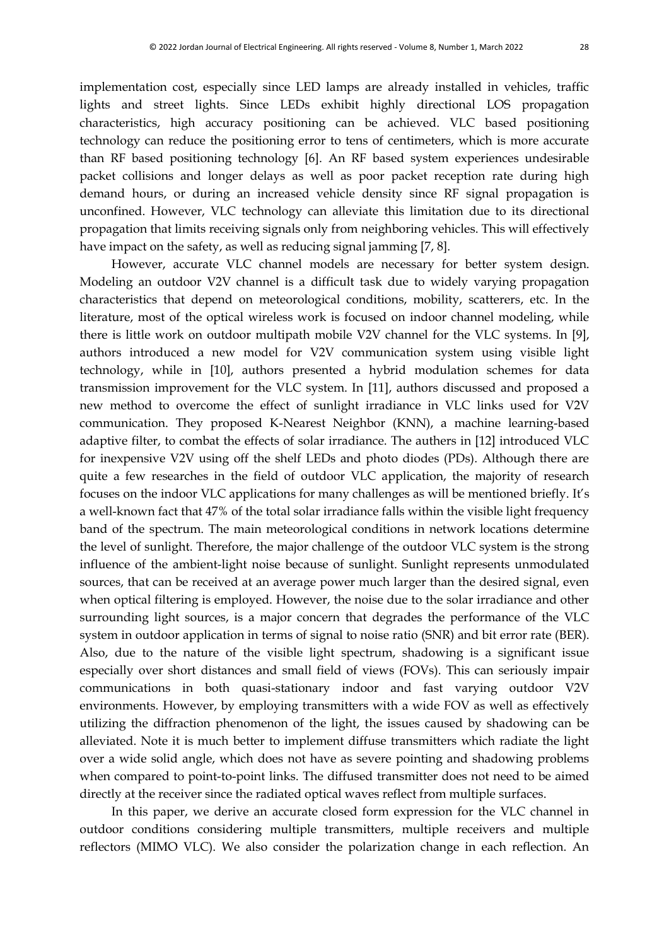implementation cost, especially since LED lamps are already installed in vehicles, traffic lights and street lights. Since LEDs exhibit highly directional LOS propagation characteristics, high accuracy positioning can be achieved. VLC based positioning technology can reduce the positioning error to tens of centimeters, which is more accurate than RF based positioning technology [6]. An RF based system experiences undesirable packet collisions and longer delays as well as poor packet reception rate during high demand hours, or during an increased vehicle density since RF signal propagation is unconfined. However, VLC technology can alleviate this limitation due to its directional propagation that limits receiving signals only from neighboring vehicles. This will effectively have impact on the safety, as well as reducing signal jamming [7, 8].

However, accurate VLC channel models are necessary for better system design. Modeling an outdoor V2V channel is a difficult task due to widely varying propagation characteristics that depend on meteorological conditions, mobility, scatterers, etc. In the literature, most of the optical wireless work is focused on indoor channel modeling, while there is little work on outdoor multipath mobile V2V channel for the VLC systems. In [9], authors introduced a new model for V2V communication system using visible light technology, while in [10], authors presented a hybrid modulation schemes for data transmission improvement for the VLC system. In [11], authors discussed and proposed a new method to overcome the effect of sunlight irradiance in VLC links used for V2V communication. They proposed K-Nearest Neighbor (KNN), a machine learning-based adaptive filter, to combat the effects of solar irradiance. The authers in [12] introduced VLC for inexpensive V2V using off the shelf LEDs and photo diodes (PDs). Although there are quite a few researches in the field of outdoor VLC application, the majority of research focuses on the indoor VLC applications for many challenges as will be mentioned briefly. It's a well-known fact that 47% of the total solar irradiance falls within the visible light frequency band of the spectrum. The main meteorological conditions in network locations determine the level of sunlight. Therefore, the major challenge of the outdoor VLC system is the strong influence of the ambient-light noise because of sunlight. Sunlight represents unmodulated sources, that can be received at an average power much larger than the desired signal, even when optical filtering is employed. However, the noise due to the solar irradiance and other surrounding light sources, is a major concern that degrades the performance of the VLC system in outdoor application in terms of signal to noise ratio (SNR) and bit error rate (BER). Also, due to the nature of the visible light spectrum, shadowing is a significant issue especially over short distances and small field of views (FOVs). This can seriously impair communications in both quasi-stationary indoor and fast varying outdoor V2V environments. However, by employing transmitters with a wide FOV as well as effectively utilizing the diffraction phenomenon of the light, the issues caused by shadowing can be alleviated. Note it is much better to implement diffuse transmitters which radiate the light over a wide solid angle, which does not have as severe pointing and shadowing problems when compared to point-to-point links. The diffused transmitter does not need to be aimed directly at the receiver since the radiated optical waves reflect from multiple surfaces.

In this paper, we derive an accurate closed form expression for the VLC channel in outdoor conditions considering multiple transmitters, multiple receivers and multiple reflectors (MIMO VLC). We also consider the polarization change in each reflection. An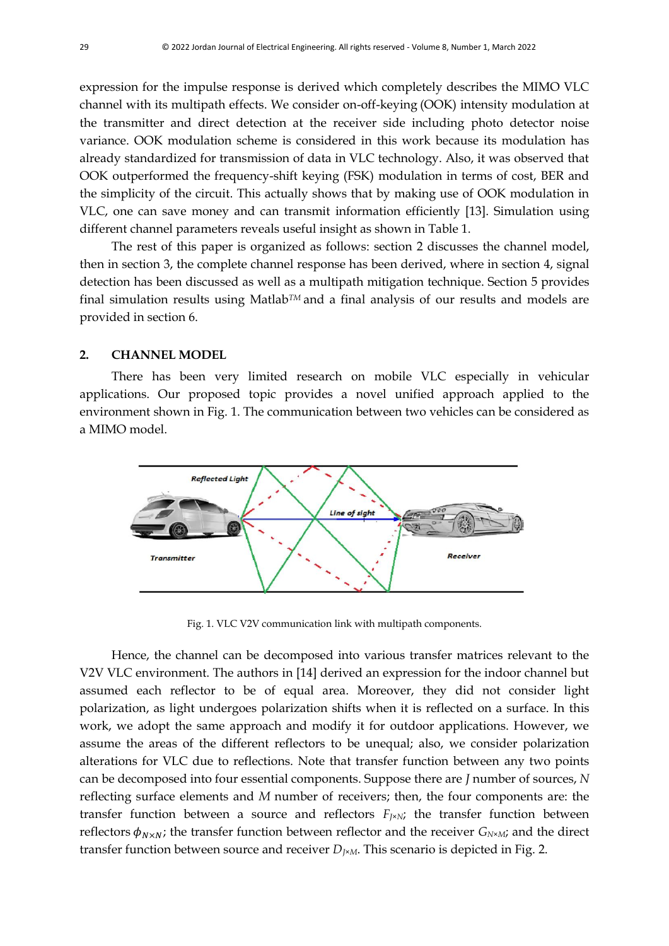expression for the impulse response is derived which completely describes the MIMO VLC channel with its multipath effects. We consider on-off-keying (OOK) intensity modulation at the transmitter and direct detection at the receiver side including photo detector noise variance. OOK modulation scheme is considered in this work because its modulation has already standardized for transmission of data in VLC technology. Also, it was observed that OOK outperformed the frequency-shift keying (FSK) modulation in terms of cost, BER and the simplicity of the circuit. This actually shows that by making use of OOK modulation in VLC, one can save money and can transmit information efficiently [13]. Simulation using different channel parameters reveals useful insight as shown in Table 1.

The rest of this paper is organized as follows: section 2 discusses the channel model, then in section 3, the complete channel response has been derived, where in section 4, signal detection has been discussed as well as a multipath mitigation technique. Section 5 provides final simulation results using Matlab*TM* and a final analysis of our results and models are provided in section 6.

## **2. CHANNEL MODEL**

There has been very limited research on mobile VLC especially in vehicular applications. Our proposed topic provides a novel unified approach applied to the environment shown in Fig. 1. The communication between two vehicles can be considered as a MIMO model.



Fig. 1. VLC V2V communication link with multipath components.

Hence, the channel can be decomposed into various transfer matrices relevant to the V2V VLC environment. The authors in [14] derived an expression for the indoor channel but assumed each reflector to be of equal area. Moreover, they did not consider light polarization, as light undergoes polarization shifts when it is reflected on a surface. In this work, we adopt the same approach and modify it for outdoor applications. However, we assume the areas of the different reflectors to be unequal; also, we consider polarization alterations for VLC due to reflections. Note that transfer function between any two points can be decomposed into four essential components. Suppose there are *J* number of sources, *N*  reflecting surface elements and *M* number of receivers; then, the four components are: the transfer function between a source and reflectors  $F_{J^*N}$ ; the transfer function between reflectors  $\phi_{N\times N}$ ; the transfer function between reflector and the receiver  $G_{N\times M}$ ; and the direct transfer function between source and receiver *D<sup>J</sup>*×*<sup>M</sup>*. This scenario is depicted in Fig. 2.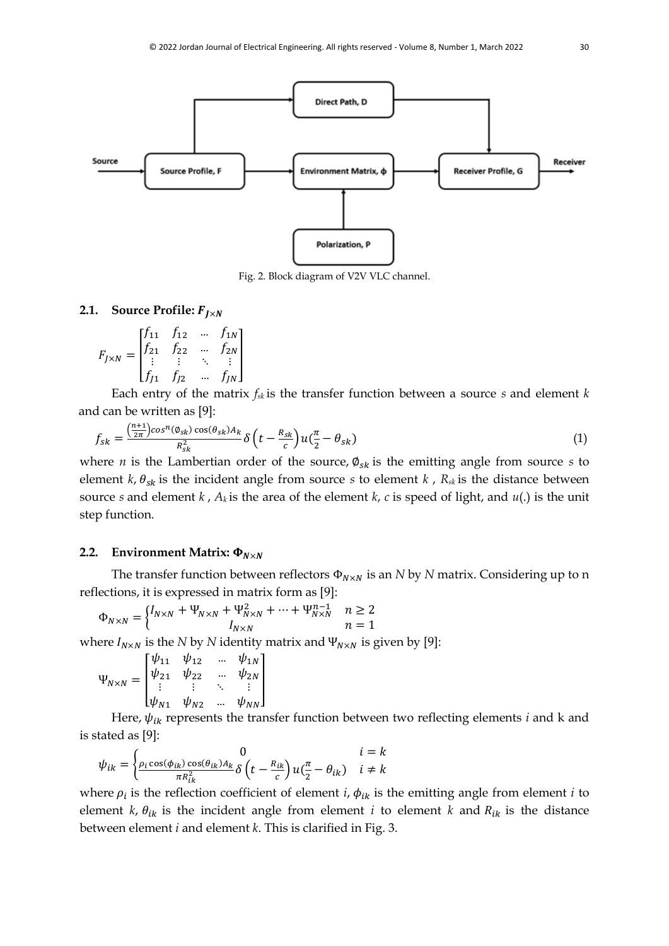

Fig. 2. Block diagram of V2V VLC channel.

## **2.1. Source Profile:**  $F_{I \times N}$

$$
F_{J\times N} = \begin{bmatrix} f_{11} & f_{12} & \dots & f_{1N} \\ f_{21} & f_{22} & \dots & f_{2N} \\ \vdots & \vdots & \ddots & \vdots \\ f_{J1} & f_{J2} & \dots & f_{JN} \end{bmatrix}
$$

Each entry of the matrix *fsk* is the transfer function between a source *s* and element *k*  and can be written as [9]:

$$
f_{sk} = \frac{\left(\frac{n+1}{2\pi}\right)\cos^{n}(\phi_{sk})\cos(\theta_{sk})A_k}{R_{sk}^2} \delta\left(t - \frac{R_{sk}}{c}\right)u\left(\frac{\pi}{2} - \theta_{sk}\right) \tag{1}
$$

where *n* is the Lambertian order of the source,  $\varphi_{sk}$  is the emitting angle from source *s* to element  $k$ ,  $\theta_{sk}$  is the incident angle from source *s* to element  $k$ ,  $R_{sk}$  is the distance between source *s* and element *k*,  $A_k$  is the area of the element *k*, *c* is speed of light, and *u*(.) is the unit step function.

#### **2.2. Environment Matrix:**  $\Phi_{N \times N}$

The transfer function between reflectors  $\Phi_{N \times N}$  is an *N* by *N* matrix. Considering up to n reflections, it is expressed in matrix form as [9]:

$$
\Phi_{N \times N} = \begin{cases} I_{N \times N} + \Psi_{N \times N} + \Psi_{N \times N}^{2} + \dots + \Psi_{N \times N}^{n-1} & n \ge 2 \\ I_{N \times N} & n = 1 \end{cases}
$$

where  $I_{N\times N}$  is the *N* by *N* identity matrix and  $\Psi_{N\times N}$  is given by [9]:

$$
\Psi_{N\times N} = \begin{bmatrix} \psi_{11} & \psi_{12} & \dots & \psi_{1N} \\ \psi_{21} & \psi_{22} & \dots & \psi_{2N} \\ \vdots & \vdots & \ddots & \vdots \\ \psi_{N1} & \psi_{N2} & \dots & \psi_{NN} \end{bmatrix}
$$

Here,  $\psi_{ik}$  represents the transfer function between two reflecting elements *i* and *k* and is stated as [9]:

$$
\psi_{ik} = \begin{cases}\n0 & i = k \\
\frac{\rho_i \cos(\phi_{ik}) \cos(\theta_{ik}) A_k}{\pi R_{ik}^2} \delta\left(t - \frac{R_{ik}}{c}\right) u\left(\frac{\pi}{2} - \theta_{ik}\right) & i \neq k\n\end{cases}
$$

where  $\rho_i$  is the reflection coefficient of element *i*,  $\phi_{ik}$  is the emitting angle from element *i* to element *k*,  $\theta_{ik}$  is the incident angle from element *i* to element *k* and  $R_{ik}$  is the distance between element *i* and element *k*. This is clarified in Fig. 3.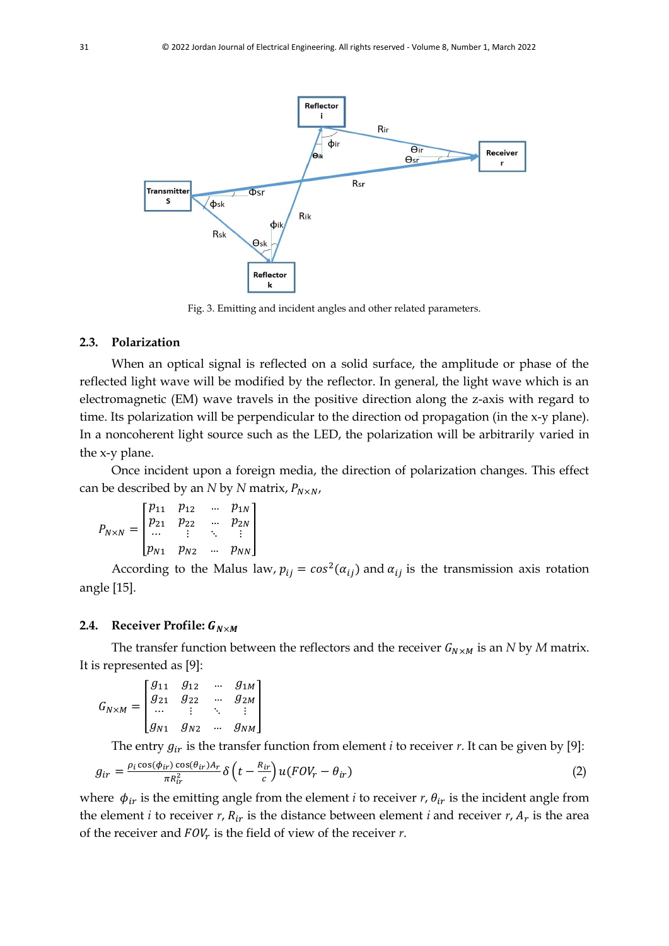

Fig. 3. Emitting and incident angles and other related parameters.

#### **2.3. Polarization**

When an optical signal is reflected on a solid surface, the amplitude or phase of the reflected light wave will be modified by the reflector. In general, the light wave which is an electromagnetic (EM) wave travels in the positive direction along the z-axis with regard to time. Its polarization will be perpendicular to the direction od propagation (in the x-y plane). In a noncoherent light source such as the LED, the polarization will be arbitrarily varied in the x-y plane.

Once incident upon a foreign media, the direction of polarization changes. This effect can be described by an *N* by *N* matrix,  $P_{N \times N}$ ,

$$
P_{N\times N} = \begin{bmatrix} p_{11} & p_{12} & \dots & p_{1N} \\ p_{21} & p_{22} & \dots & p_{2N} \\ \dots & \vdots & \ddots & \vdots \\ p_{N1} & p_{N2} & \dots & p_{NN} \end{bmatrix}
$$

According to the Malus law,  $p_{ij} = cos^2(\alpha_{ij})$  and  $\alpha_{ij}$  is the transmission axis rotation angle [15].

#### **2.4.** Receiver Profile:  $G_{N \times M}$

The transfer function between the reflectors and the receiver  $G_{N \times M}$  is an *N* by *M* matrix. It is represented as [9]:

$$
G_{N \times M} = \begin{bmatrix} g_{11} & g_{12} & \dots & g_{1M} \\ g_{21} & g_{22} & \dots & g_{2M} \\ \dots & \vdots & \ddots & \vdots \\ g_{N1} & g_{N2} & \dots & g_{NM} \end{bmatrix}
$$

The entry  $g_{ir}$  is the transfer function from element *i* to receiver *r*. It can be given by [9]:

$$
g_{ir} = \frac{\rho_i \cos(\phi_{ir}) \cos(\theta_{ir}) A_r}{\pi R_{ir}^2} \delta\left(t - \frac{R_{ir}}{c}\right) u(FOV_r - \theta_{ir})
$$
\n(2)

where  $\phi_{ir}$  is the emitting angle from the element *i* to receiver *r*,  $\theta_{ir}$  is the incident angle from the element *i* to receiver *r*,  $R_{ir}$  is the distance between element *i* and receiver *r*,  $A_r$  is the area of the receiver and  $FOV_r$  is the field of view of the receiver  $r$ .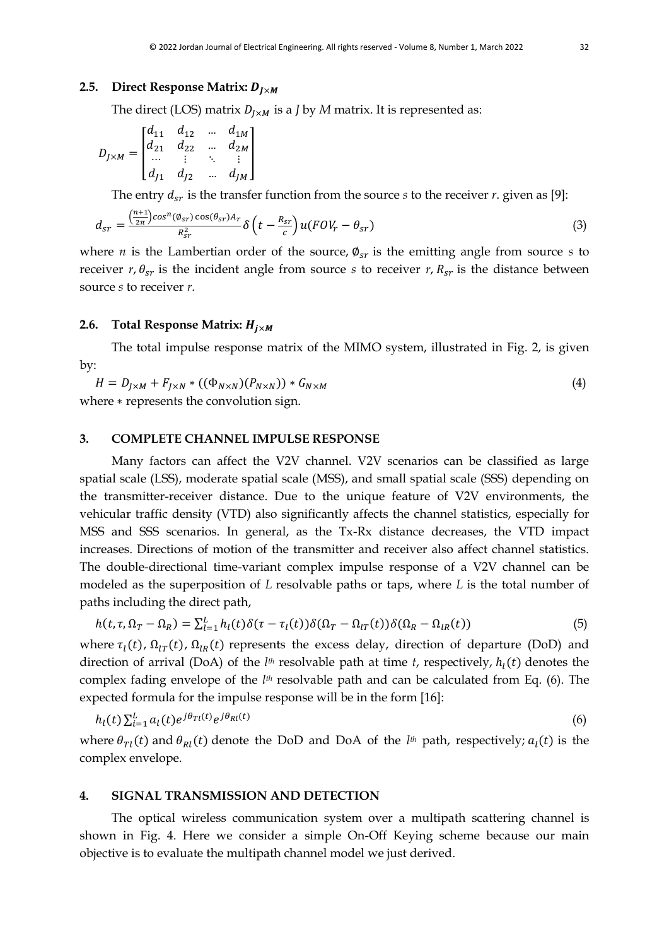#### **2.5.** Direct Response Matrix:  $D_{I \times M}$

The direct (LOS) matrix  $D_{I \times M}$  is a *J* by *M* matrix. It is represented as:

$$
D_{J \times M} = \begin{bmatrix} d_{11} & d_{12} & \dots & d_{1M} \\ d_{21} & d_{22} & \dots & d_{2M} \\ \dots & \vdots & \ddots & \vdots \\ d_{J1} & d_{J2} & \dots & d_{JM} \end{bmatrix}
$$

The entry  $d_{sr}$  is the transfer function from the source *s* to the receiver *r*. given as [9]:

$$
d_{sr} = \frac{\left(\frac{n+1}{2\pi}\right)\cos^{n}(\phi_{sr})\cos(\theta_{sr})A_r}{R_{sr}^2} \delta\left(t - \frac{R_{sr}}{c}\right)u(FOV_r - \theta_{sr})
$$
\n(3)

where *n* is the Lambertian order of the source,  $\phi_{sr}$  is the emitting angle from source *s* to receiver  $r, \theta_{sr}$  is the incident angle from source *s* to receiver  $r, R_{sr}$  is the distance between source *s* to receiver *r*.

## **2.6. Total Response Matrix:**  $H_{i \times M}$

The total impulse response matrix of the MIMO system, illustrated in Fig. 2, is given by:

$$
H = D_{J \times M} + F_{J \times N} * ((\Phi_{N \times N})(P_{N \times N})) * G_{N \times M}
$$
  
where \* represents the convolution sign. (4)

## **3. COMPLETE CHANNEL IMPULSE RESPONSE**

Many factors can affect the V2V channel. V2V scenarios can be classified as large spatial scale (LSS), moderate spatial scale (MSS), and small spatial scale (SSS) depending on the transmitter-receiver distance. Due to the unique feature of V2V environments, the vehicular traffic density (VTD) also significantly affects the channel statistics, especially for MSS and SSS scenarios. In general, as the Tx-Rx distance decreases, the VTD impact increases. Directions of motion of the transmitter and receiver also affect channel statistics. The double-directional time-variant complex impulse response of a V2V channel can be modeled as the superposition of *L* resolvable paths or taps, where *L* is the total number of paths including the direct path,

$$
h(t,\tau,\Omega_T-\Omega_R)=\sum_{l=1}^L h_l(t)\delta(\tau-\tau_l(t))\delta(\Omega_T-\Omega_{lT}(t))\delta(\Omega_R-\Omega_{lR}(t))
$$
\n(5)

where  $\tau_l(t)$ ,  $\Omega_{lT}(t)$ ,  $\Omega_{lR}(t)$  represents the excess delay, direction of departure (DoD) and direction of arrival (DoA) of the *l<sup>th</sup>* resolvable path at time *t*, respectively,  $h_l(t)$  denotes the complex fading envelope of the *l th* resolvable path and can be calculated from Eq. (6). The expected formula for the impulse response will be in the form [16]:

$$
h_l(t) \sum_{i=1}^L a_l(t) e^{j\theta_{\text{TI}}(t)} e^{j\theta_{\text{RI}}(t)} \tag{6}
$$

where  $\theta_{\text{TI}}(t)$  and  $\theta_{\text{RI}}(t)$  denote the DoD and DoA of the *l<sup>th</sup>* path, respectively;  $a_l(t)$  is the complex envelope.

## **4. SIGNAL TRANSMISSION AND DETECTION**

The optical wireless communication system over a multipath scattering channel is shown in Fig. 4. Here we consider a simple On-Off Keying scheme because our main objective is to evaluate the multipath channel model we just derived.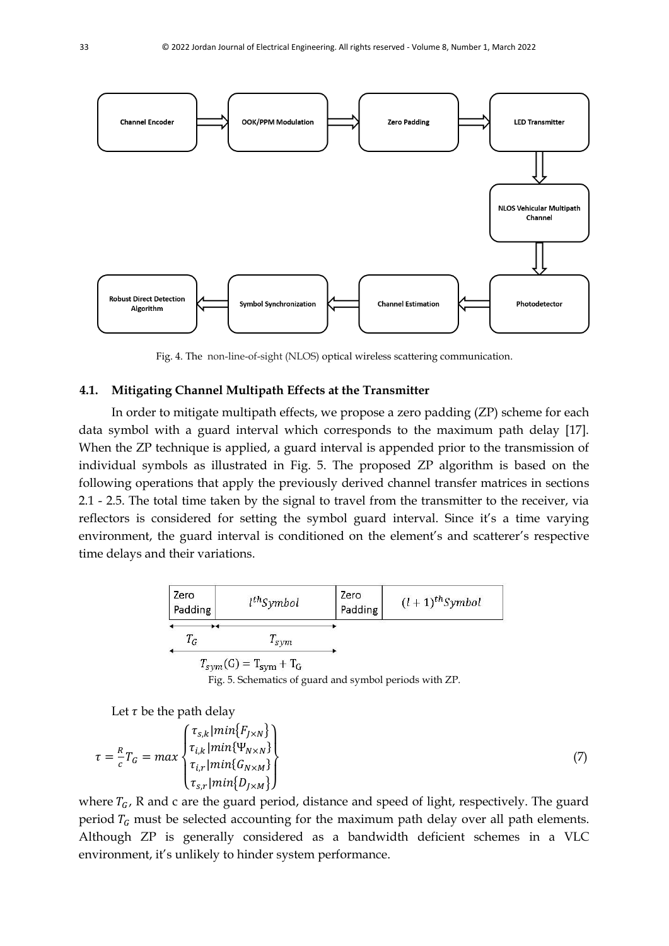

Fig. 4. The non-line-of-sight (NLOS) optical wireless scattering communication.

#### **4.1. Mitigating Channel Multipath Effects at the Transmitter**

In order to mitigate multipath effects, we propose a zero padding (ZP) scheme for each data symbol with a guard interval which corresponds to the maximum path delay [17]. When the ZP technique is applied, a guard interval is appended prior to the transmission of individual symbols as illustrated in Fig. 5. The proposed ZP algorithm is based on the following operations that apply the previously derived channel transfer matrices in sections 2.1 - 2.5. The total time taken by the signal to travel from the transmitter to the receiver, via reflectors is considered for setting the symbol guard interval. Since it's a time varying environment, the guard interval is conditioned on the element's and scatterer's respective time delays and their variations.



Fig. 5. Schematics of guard and symbol periods with ZP.

Let  $\tau$  be the path delay

$$
\tau = \frac{R}{c} T_G = \max \begin{Bmatrix} \tau_{s,k} | \min\{F_{J \times N}\} \\ \tau_{i,k} | \min\{\Psi_{N \times N}\} \\ \tau_{i,r} | \min\{G_{N \times M}\} \\ \tau_{s,r} | \min\{D_{J \times M}\} \end{Bmatrix} \tag{7}
$$

where  $T_G$ , R and c are the guard period, distance and speed of light, respectively. The guard period  $T_G$  must be selected accounting for the maximum path delay over all path elements. Although ZP is generally considered as a bandwidth deficient schemes in a VLC environment, it's unlikely to hinder system performance.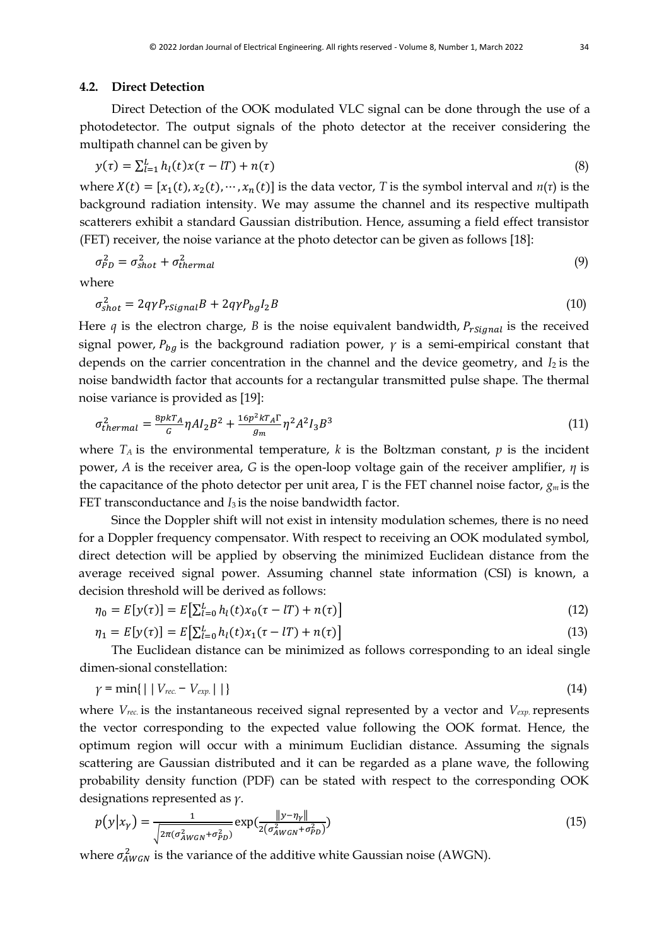#### **4.2. Direct Detection**

Direct Detection of the OOK modulated VLC signal can be done through the use of a photodetector. The output signals of the photo detector at the receiver considering the multipath channel can be given by

$$
y(\tau) = \sum_{l=1}^{L} h_l(t)x(\tau - lT) + n(\tau)
$$
\n(8)

where  $X(t) = [x_1(t), x_2(t), \dots, x_n(t)]$  is the data vector, *T* is the symbol interval and *n*(*τ*) is the background radiation intensity. We may assume the channel and its respective multipath scatterers exhibit a standard Gaussian distribution. Hence, assuming a field effect transistor (FET) receiver, the noise variance at the photo detector can be given as follows [18]:

$$
\sigma_{PD}^2 = \sigma_{shot}^2 + \sigma_{thermal}^2 \tag{9}
$$

where

$$
\sigma_{shot}^2 = 2q\gamma P_{rSignal}B + 2q\gamma P_{bg}I_2B\tag{10}
$$

Here  $q$  is the electron charge,  $B$  is the noise equivalent bandwidth,  $P_{rSional}$  is the received signal power,  $P_{ba}$  is the background radiation power,  $\gamma$  is a semi-empirical constant that depends on the carrier concentration in the channel and the device geometry, and *I*<sub>2</sub> is the noise bandwidth factor that accounts for a rectangular transmitted pulse shape. The thermal noise variance is provided as [19]:

$$
\sigma_{thermal}^2 = \frac{8p kT_A}{G} \eta A I_2 B^2 + \frac{16p^2 kT_A \Gamma}{g_m} \eta^2 A^2 I_3 B^3 \tag{11}
$$

where  $T_A$  is the environmental temperature, k is the Boltzman constant, p is the incident power, *A* is the receiver area, *G* is the open-loop voltage gain of the receiver amplifier, *η* is the capacitance of the photo detector per unit area, Γ is the FET channel noise factor, *gm* is the FET transconductance and *I*<sub>3</sub> is the noise bandwidth factor.

Since the Doppler shift will not exist in intensity modulation schemes, there is no need for a Doppler frequency compensator. With respect to receiving an OOK modulated symbol, direct detection will be applied by observing the minimized Euclidean distance from the average received signal power. Assuming channel state information (CSI) is known, a decision threshold will be derived as follows:

$$
\eta_0 = E[y(\tau)] = E[\sum_{l=0}^{L} h_l(t)x_0(\tau - lT) + n(\tau)] \tag{12}
$$

$$
\eta_1 = E[y(\tau)] = E\big[\sum_{l=0}^{L} h_l(t)x_1(\tau - lT) + n(\tau)\big]
$$
\n(13)

The Euclidean distance can be minimized as follows corresponding to an ideal single dimen-sional constellation:

$$
\gamma = \min\{|\mid V_{rec.} - V_{exp.}|\mid\}
$$
\n(14)

where  $V_{rec}$  is the instantaneous received signal represented by a vector and  $V_{exc}$  represents the vector corresponding to the expected value following the OOK format. Hence, the optimum region will occur with a minimum Euclidian distance. Assuming the signals scattering are Gaussian distributed and it can be regarded as a plane wave, the following probability density function (PDF) can be stated with respect to the corresponding OOK designations represented as *γ*.

$$
p(y|x_{\gamma}) = \frac{1}{\sqrt{2\pi(\sigma_{AWGN}^2 + \sigma_{PD}^2)}} \exp(\frac{\|y - \eta_{\gamma}\|}{2(\sigma_{AWGN}^2 + \sigma_{PD}^2)})
$$
(15)

where  $\sigma_{AWGN}^2$  is the variance of the additive white Gaussian noise (AWGN).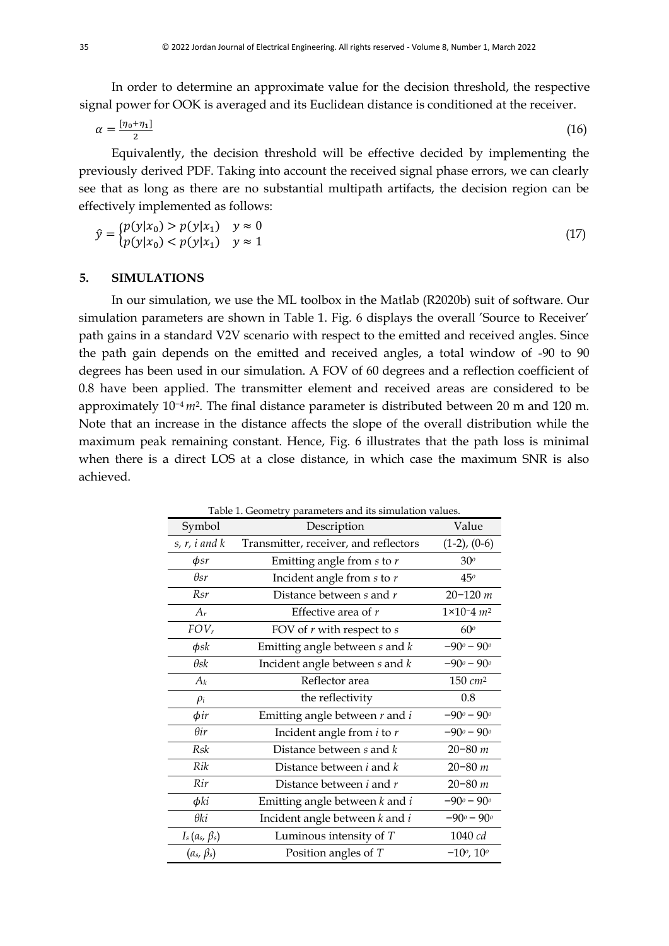In order to determine an approximate value for the decision threshold, the respective signal power for OOK is averaged and its Euclidean distance is conditioned at the receiver.

$$
\alpha = \frac{[\eta_0 + \eta_1]}{2} \tag{16}
$$

Equivalently, the decision threshold will be effective decided by implementing the previously derived PDF. Taking into account the received signal phase errors, we can clearly see that as long as there are no substantial multipath artifacts, the decision region can be effectively implemented as follows:

$$
\hat{y} = \begin{cases} p(y|x_0) > p(y|x_1) & y \approx 0 \\ p(y|x_0) < p(y|x_1) & y \approx 1 \end{cases} \tag{17}
$$

## **5. SIMULATIONS**

In our simulation, we use the ML toolbox in the Matlab (R2020b) suit of software. Our simulation parameters are shown in Table 1. Fig. 6 displays the overall 'Source to Receiver' path gains in a standard V2V scenario with respect to the emitted and received angles. Since the path gain depends on the emitted and received angles, a total window of -90 to 90 degrees has been used in our simulation. A FOV of 60 degrees and a reflection coefficient of 0.8 have been applied. The transmitter element and received areas are considered to be approximately 10−4 *m*2. The final distance parameter is distributed between 20 m and 120 m. Note that an increase in the distance affects the slope of the overall distribution while the maximum peak remaining constant. Hence, Fig. 6 illustrates that the path loss is minimal when there is a direct LOS at a close distance, in which case the maximum SNR is also achieved.

Table 1. Geometry parameters and its simulation values.

| Symbol              | Description                           | Value                        |
|---------------------|---------------------------------------|------------------------------|
| $s, r, i$ and $k$   | Transmitter, receiver, and reflectors | $(1-2)$ , $(0-6)$            |
| $\phi$ sr           | Emitting angle from $s$ to $r$        | 30 <sup>o</sup>              |
| $\theta$ sr         | Incident angle from $s$ to $r$        | 45°                          |
| Rsr                 | Distance between $s$ and $r$          | $20 - 120$ m                 |
| $A_r$               | Effective area of $r$                 | $1 \times 10^{-4}$ $m^2$     |
| $FOV_r$             | FOV of $r$ with respect to $s$        | 60 <sup>o</sup>              |
| $\phi$ sk           | Emitting angle between $s$ and $k$    | $-90° - 90°$                 |
| $\theta$ sk         | Incident angle between $s$ and $k$    | $-90^{\circ} - 90^{\circ}$   |
| $A_k$               | Reflector area                        | $150$ $cm2$                  |
| $\rho_i$            | the reflectivity                      | 0.8                          |
| $\phi$ ir           | Emitting angle between $r$ and $i$    | $-90^o - 90^o$               |
| $\theta$ ir         | Incident angle from $i$ to $r$        | $-90^{\circ} - 90^{\circ}$   |
| Rsk                 | Distance between $s$ and $k$          | $20 - 80$ m                  |
| Rik                 | Distance between $i$ and $k$          | $20 - 80$ m                  |
| Rir                 | Distance between $i$ and $r$          | $20 - 80$ m                  |
| $\phi$ ki           | Emitting angle between $k$ and $i$    | $-90^{\circ} - 90^{\circ}$   |
| θki                 | Incident angle between $k$ and $i$    | $-90^o - 90^o$               |
| $I_s(a_s, \beta_s)$ | Luminous intensity of $T$             | 1040 cd                      |
| $(a_s, \beta_s)$    | Position angles of $T$                | $-10^{\circ}$ , $10^{\circ}$ |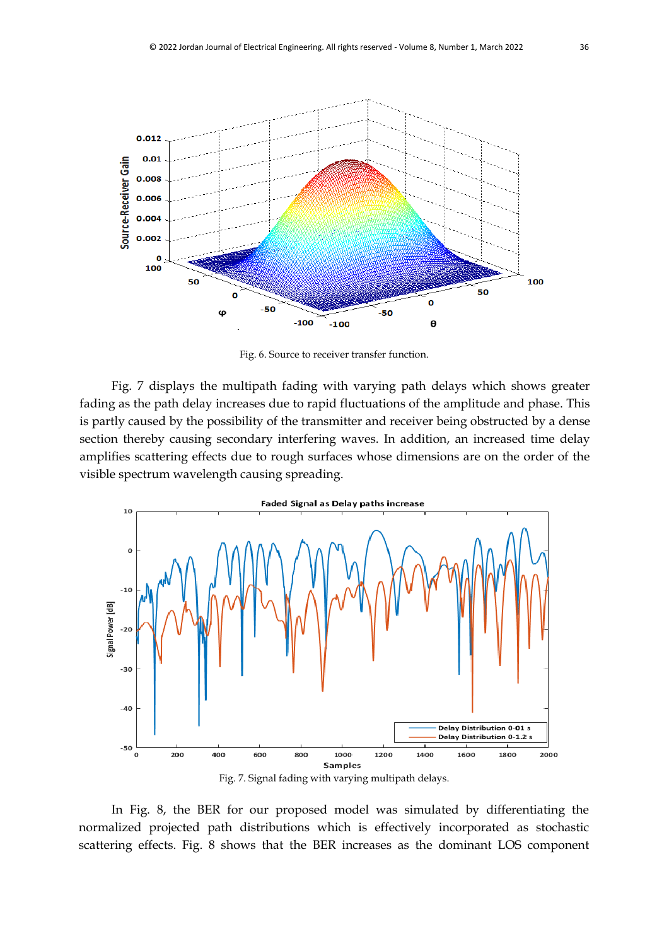

Fig. 6. Source to receiver transfer function.

Fig. 7 displays the multipath fading with varying path delays which shows greater fading as the path delay increases due to rapid fluctuations of the amplitude and phase. This is partly caused by the possibility of the transmitter and receiver being obstructed by a dense section thereby causing secondary interfering waves. In addition, an increased time delay amplifies scattering effects due to rough surfaces whose dimensions are on the order of the visible spectrum wavelength causing spreading.



In Fig. 8, the BER for our proposed model was simulated by differentiating the normalized projected path distributions which is effectively incorporated as stochastic scattering effects. Fig. 8 shows that the BER increases as the dominant LOS component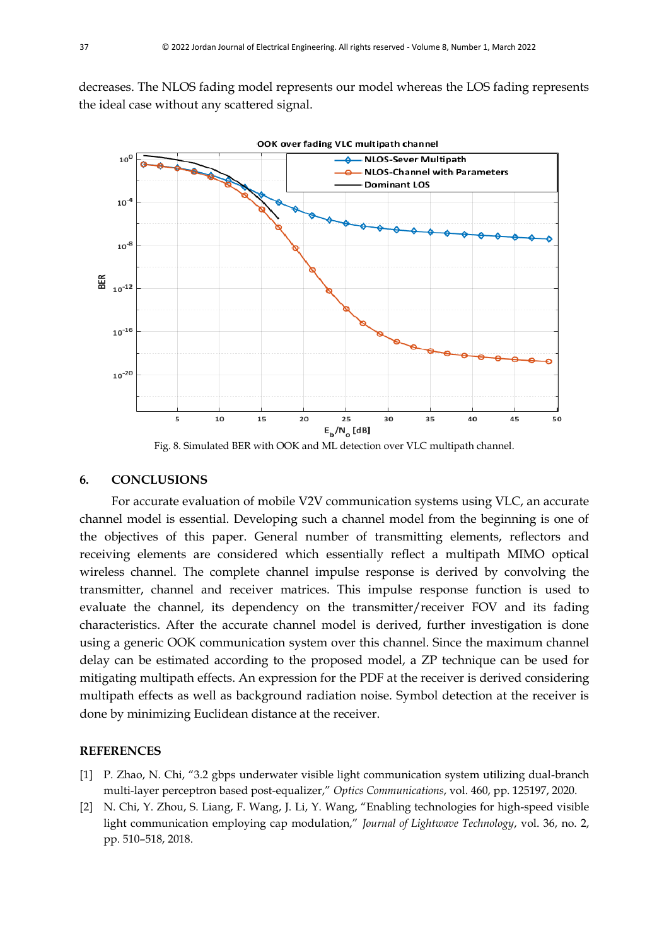decreases. The NLOS fading model represents our model whereas the LOS fading represents the ideal case without any scattered signal.



Fig. 8. Simulated BER with OOK and ML detection over VLC multipath channel.

#### **6. CONCLUSIONS**

For accurate evaluation of mobile V2V communication systems using VLC, an accurate channel model is essential. Developing such a channel model from the beginning is one of the objectives of this paper. General number of transmitting elements, reflectors and receiving elements are considered which essentially reflect a multipath MIMO optical wireless channel. The complete channel impulse response is derived by convolving the transmitter, channel and receiver matrices. This impulse response function is used to evaluate the channel, its dependency on the transmitter/receiver FOV and its fading characteristics. After the accurate channel model is derived, further investigation is done using a generic OOK communication system over this channel. Since the maximum channel delay can be estimated according to the proposed model, a ZP technique can be used for mitigating multipath effects. An expression for the PDF at the receiver is derived considering multipath effects as well as background radiation noise. Symbol detection at the receiver is done by minimizing Euclidean distance at the receiver.

#### **REFERENCES**

- [1] P. Zhao, N. Chi, "3.2 gbps underwater visible light communication system utilizing dual-branch multi-layer perceptron based post-equalizer," *Optics Communications*, vol. 460, pp. 125197, 2020.
- [2] N. Chi, Y. Zhou, S. Liang, F. Wang, J. Li, Y. Wang, "Enabling technologies for high-speed visible light communication employing cap modulation," *Journal of Lightwave Technology*, vol. 36, no. 2, pp. 510–518, 2018.